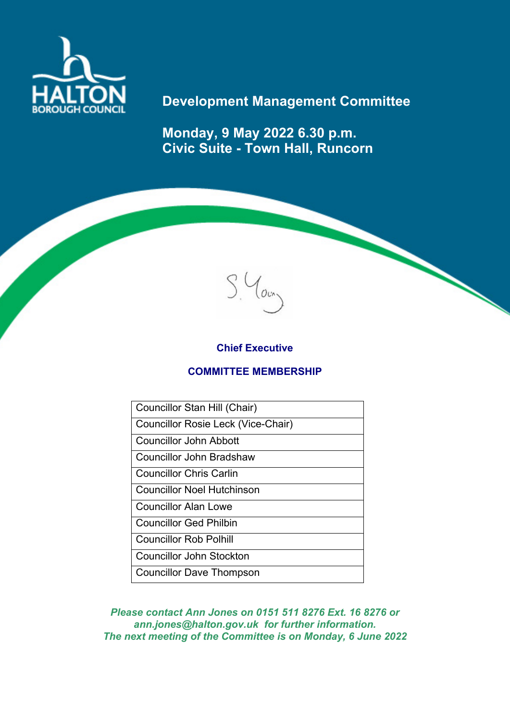

# **Development Management Committee**

**Monday, 9 May 2022 6.30 p.m. Civic Suite - Town Hall, Runcorn**



## **Chief Executive**

### **COMMITTEE MEMBERSHIP**

Councillor Stan Hill (Chair) Councillor Rosie Leck (Vice-Chair) Councillor John Abbott Councillor John Bradshaw Councillor Chris Carlin Councillor Noel Hutchinson Councillor Alan Lowe Councillor Ged Philbin Councillor Rob Polhill

Councillor John Stockton Councillor Dave Thompson

*Please contact Ann Jones on 0151 511 8276 Ext. 16 8276 or ann.jones@halton.gov.uk for further information. The next meeting of the Committee is on Monday, 6 June 2022*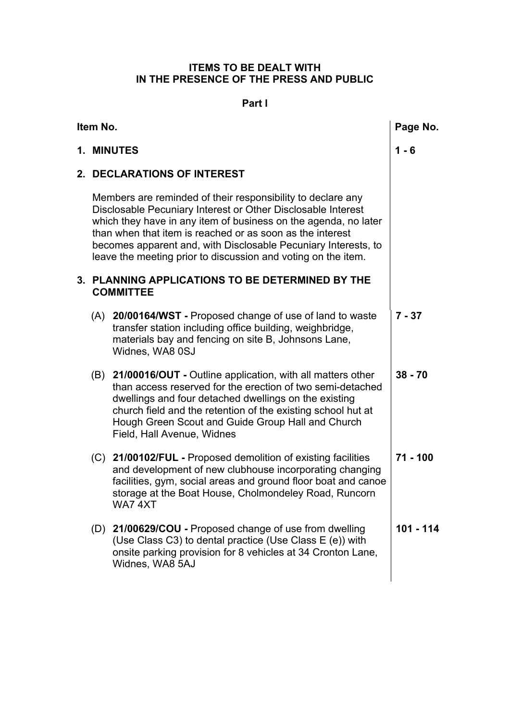### **ITEMS TO BE DEALT WITH IN THE PRESENCE OF THE PRESS AND PUBLIC**

### **Part l**

| Item No. |                                                                                                                                                                                                                                                                                                                                                                                                |                                                                                                                                                                                                                                                                                                                                          | Page No.   |
|----------|------------------------------------------------------------------------------------------------------------------------------------------------------------------------------------------------------------------------------------------------------------------------------------------------------------------------------------------------------------------------------------------------|------------------------------------------------------------------------------------------------------------------------------------------------------------------------------------------------------------------------------------------------------------------------------------------------------------------------------------------|------------|
|          | 1. MINUTES                                                                                                                                                                                                                                                                                                                                                                                     |                                                                                                                                                                                                                                                                                                                                          | $1 - 6$    |
|          | 2. DECLARATIONS OF INTEREST                                                                                                                                                                                                                                                                                                                                                                    |                                                                                                                                                                                                                                                                                                                                          |            |
|          | Members are reminded of their responsibility to declare any<br>Disclosable Pecuniary Interest or Other Disclosable Interest<br>which they have in any item of business on the agenda, no later<br>than when that item is reached or as soon as the interest<br>becomes apparent and, with Disclosable Pecuniary Interests, to<br>leave the meeting prior to discussion and voting on the item. |                                                                                                                                                                                                                                                                                                                                          |            |
|          | 3. PLANNING APPLICATIONS TO BE DETERMINED BY THE<br><b>COMMITTEE</b>                                                                                                                                                                                                                                                                                                                           |                                                                                                                                                                                                                                                                                                                                          |            |
|          |                                                                                                                                                                                                                                                                                                                                                                                                | (A) 20/00164/WST - Proposed change of use of land to waste<br>transfer station including office building, weighbridge,<br>materials bay and fencing on site B, Johnsons Lane,<br>Widnes, WA8 0SJ                                                                                                                                         | $7 - 37$   |
|          |                                                                                                                                                                                                                                                                                                                                                                                                | (B) 21/00016/OUT - Outline application, with all matters other<br>than access reserved for the erection of two semi-detached<br>dwellings and four detached dwellings on the existing<br>church field and the retention of the existing school hut at<br>Hough Green Scout and Guide Group Hall and Church<br>Field, Hall Avenue, Widnes | $38 - 70$  |
|          |                                                                                                                                                                                                                                                                                                                                                                                                | (C) 21/00102/FUL - Proposed demolition of existing facilities<br>and development of new clubhouse incorporating changing<br>facilities, gym, social areas and ground floor boat and canoe<br>storage at the Boat House, Cholmondeley Road, Runcorn<br>WA74XT                                                                             | $71 - 100$ |
|          |                                                                                                                                                                                                                                                                                                                                                                                                | (D) 21/00629/COU - Proposed change of use from dwelling<br>(Use Class C3) to dental practice (Use Class E (e)) with<br>onsite parking provision for 8 vehicles at 34 Cronton Lane,<br>Widnes, WA8 5AJ                                                                                                                                    | 101 - 114  |